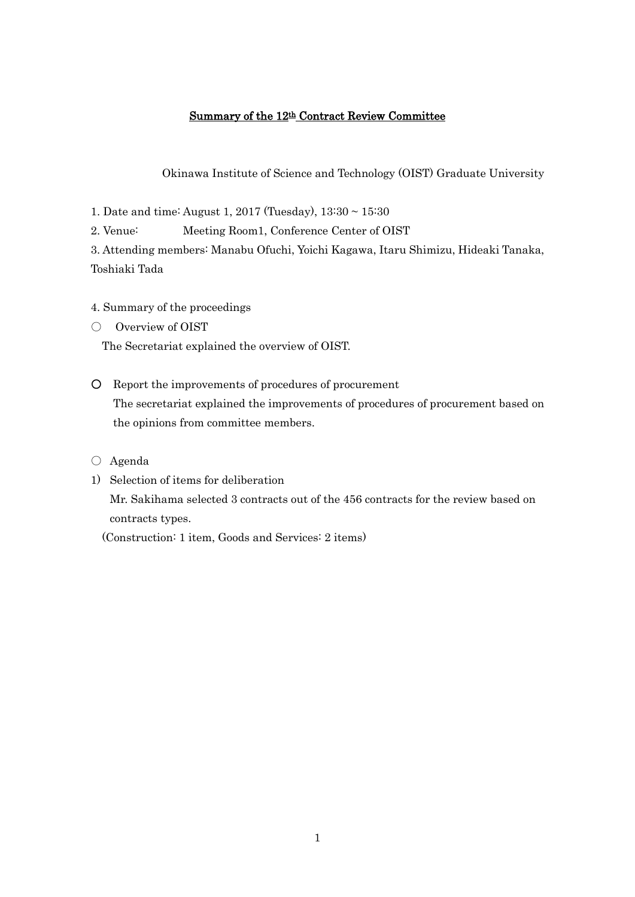# Summary of the 12th Contract Review Committee

Okinawa Institute of Science and Technology (OIST) Graduate University

1. Date and time: August 1, 2017 (Tuesday), 13:30 ~ 15:30

2. Venue: Meeting Room1, Conference Center of OIST

3. Attending members: Manabu Ofuchi, Yoichi Kagawa, Itaru Shimizu, Hideaki Tanaka, Toshiaki Tada

4. Summary of the proceedings

○ Overview of OIST

The Secretariat explained the overview of OIST.

- Report the improvements of procedures of procurement The secretariat explained the improvements of procedures of procurement based on the opinions from committee members.
- Agenda
- 1) Selection of items for deliberation Mr. Sakihama selected 3 contracts out of the 456 contracts for the review based on contracts types.

(Construction: 1 item, Goods and Services: 2 items)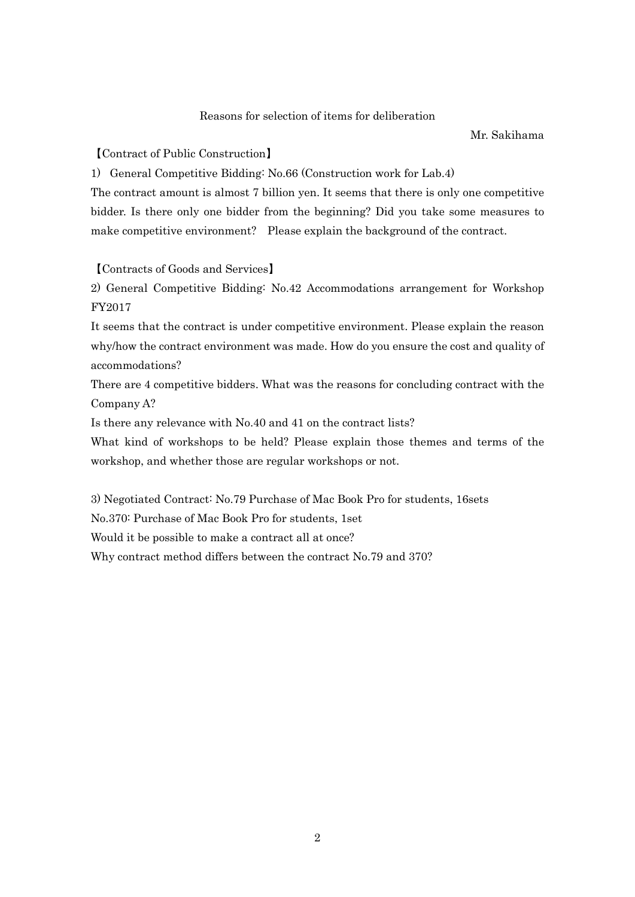#### Reasons for selection of items for deliberation

Mr. Sakihama

【Contract of Public Construction】

1) General Competitive Bidding: No.66 (Construction work for Lab.4)

The contract amount is almost 7 billion yen. It seems that there is only one competitive bidder. Is there only one bidder from the beginning? Did you take some measures to make competitive environment? Please explain the background of the contract.

#### 【Contracts of Goods and Services】

2) General Competitive Bidding: No.42 Accommodations arrangement for Workshop FY2017

It seems that the contract is under competitive environment. Please explain the reason why/how the contract environment was made. How do you ensure the cost and quality of accommodations?

There are 4 competitive bidders. What was the reasons for concluding contract with the Company A?

Is there any relevance with No.40 and 41 on the contract lists?

What kind of workshops to be held? Please explain those themes and terms of the workshop, and whether those are regular workshops or not.

3) Negotiated Contract: No.79 Purchase of Mac Book Pro for students, 16sets

No.370: Purchase of Mac Book Pro for students, 1set

Would it be possible to make a contract all at once?

Why contract method differs between the contract No.79 and 370?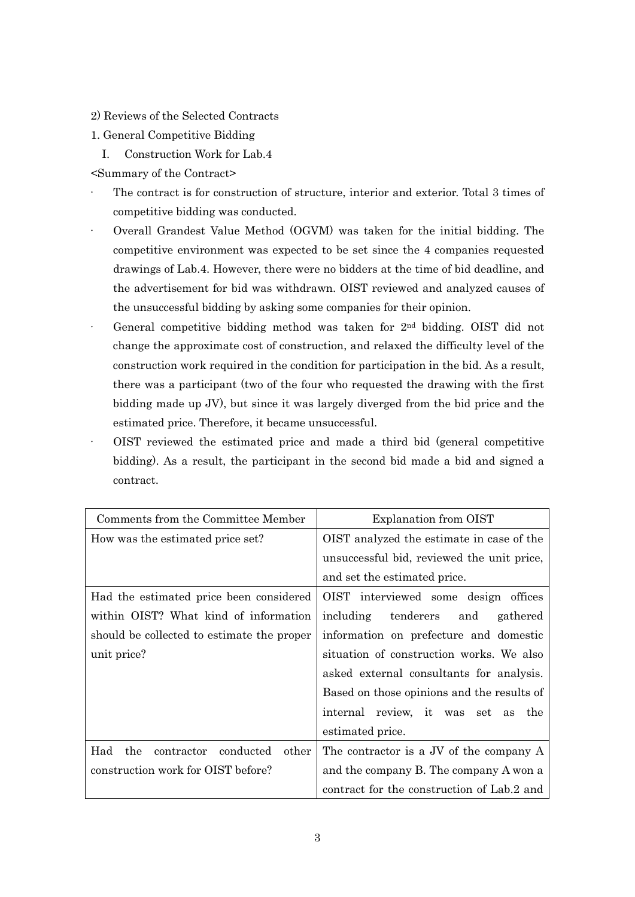- 2) Reviews of the Selected Contracts
- 1. General Competitive Bidding
	- I. Construction Work for Lab.4
- <Summary of the Contract>
- The contract is for construction of structure, interior and exterior. Total 3 times of competitive bidding was conducted.
- · Overall Grandest Value Method (OGVM) was taken for the initial bidding. The competitive environment was expected to be set since the 4 companies requested drawings of Lab.4. However, there were no bidders at the time of bid deadline, and the advertisement for bid was withdrawn. OIST reviewed and analyzed causes of the unsuccessful bidding by asking some companies for their opinion.
- General competitive bidding method was taken for  $2<sup>nd</sup>$  bidding. OIST did not change the approximate cost of construction, and relaxed the difficulty level of the construction work required in the condition for participation in the bid. As a result, there was a participant (two of the four who requested the drawing with the first bidding made up JV), but since it was largely diverged from the bid price and the estimated price. Therefore, it became unsuccessful.
- · OIST reviewed the estimated price and made a third bid (general competitive bidding). As a result, the participant in the second bid made a bid and signed a contract.

| Comments from the Committee Member             | Explanation from OIST                                        |
|------------------------------------------------|--------------------------------------------------------------|
| How was the estimated price set?               | OIST analyzed the estimate in case of the                    |
|                                                | unsuccessful bid, reviewed the unit price,                   |
|                                                | and set the estimated price.                                 |
| Had the estimated price been considered        | OIST interviewed some design offices                         |
| within OIST? What kind of information          | including tenderers<br>and<br>gathered                       |
| should be collected to estimate the proper     | information on prefecture and domestic                       |
| unit price?                                    | situation of construction works. We also                     |
|                                                | asked external consultants for analysis.                     |
|                                                | Based on those opinions and the results of                   |
|                                                | internal review, it was<br>$\operatorname{set}$<br>the<br>as |
|                                                | estimated price.                                             |
| conducted<br>Had<br>the<br>contractor<br>other | The contractor is a JV of the company A                      |
| construction work for OIST before?             | and the company B. The company A won a                       |
|                                                | contract for the construction of Lab.2 and                   |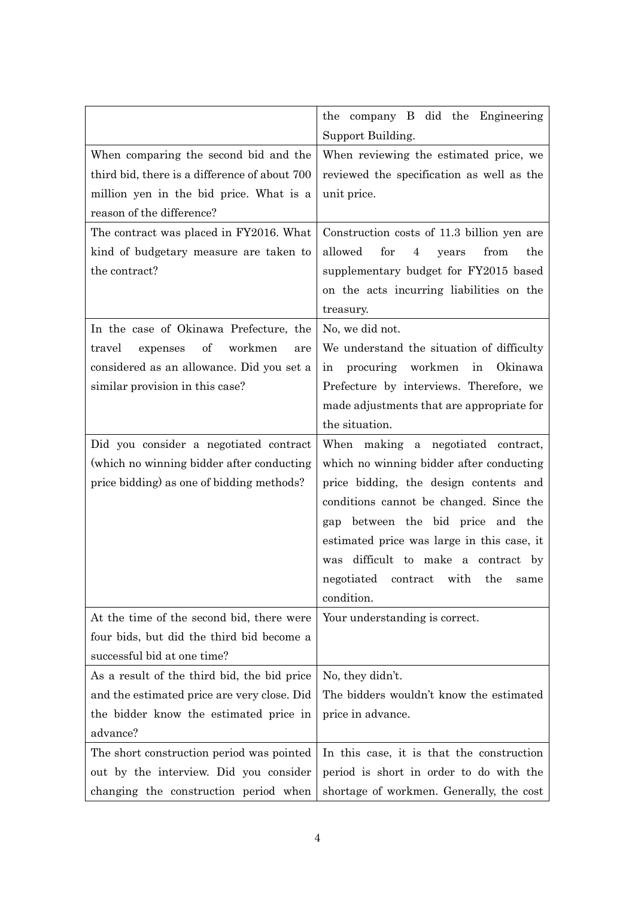|                                               | the company B did the Engineering<br>Support Building. |
|-----------------------------------------------|--------------------------------------------------------|
| When comparing the second bid and the         | When reviewing the estimated price, we                 |
| third bid, there is a difference of about 700 | reviewed the specification as well as the              |
| million yen in the bid price. What is a       | unit price.                                            |
| reason of the difference?                     |                                                        |
| The contract was placed in FY2016. What       | Construction costs of 11.3 billion yen are             |
| kind of budgetary measure are taken to        | allowed<br>for<br>4<br>from<br>the<br>years            |
| the contract?                                 | supplementary budget for FY2015 based                  |
|                                               | on the acts incurring liabilities on the               |
|                                               | treasury.                                              |
| In the case of Okinawa Prefecture, the        | No, we did not.                                        |
| of<br>workmen<br>travel<br>expenses<br>are    | We understand the situation of difficulty              |
| considered as an allowance. Did you set a     | procuring<br>workmen<br>in Okinawa<br>in               |
| similar provision in this case?               | Prefecture by interviews. Therefore, we                |
|                                               | made adjustments that are appropriate for              |
|                                               | the situation.                                         |
| Did you consider a negotiated contract        | When making a negotiated contract,                     |
| (which no winning bidder after conducting     | which no winning bidder after conducting               |
| price bidding) as one of bidding methods?     | price bidding, the design contents and                 |
|                                               | conditions cannot be changed. Since the                |
|                                               | between the bid price and the<br>gap                   |
|                                               | estimated price was large in this case, it             |
|                                               | was difficult to make a contract by                    |
|                                               | negotiated contract with the same                      |
|                                               | condition.                                             |
| At the time of the second bid, there were     | Your understanding is correct.                         |
| four bids, but did the third bid become a     |                                                        |
| successful bid at one time?                   |                                                        |
| As a result of the third bid, the bid price   | No, they didn't.                                       |
| and the estimated price are very close. Did   | The bidders wouldn't know the estimated                |
| the bidder know the estimated price in        | price in advance.                                      |
| advance?                                      |                                                        |
| The short construction period was pointed     | In this case, it is that the construction              |
| out by the interview. Did you consider        | period is short in order to do with the                |
| changing the construction period when         | shortage of workmen. Generally, the cost               |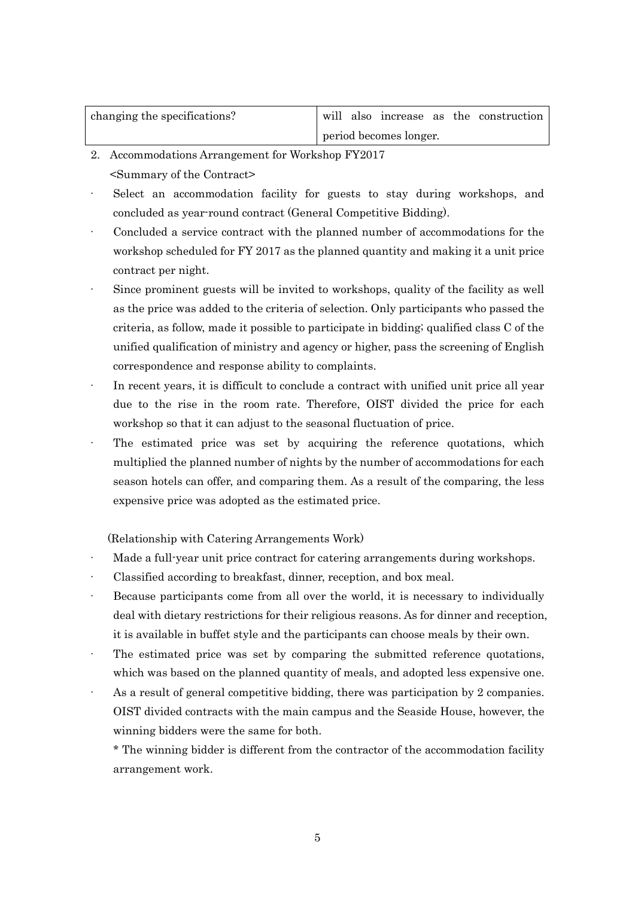| changing the specifications? | will also increase as the construction |
|------------------------------|----------------------------------------|
|                              | period becomes longer.                 |

- 2. Accommodations Arrangement for Workshop FY2017 <Summary of the Contract>
- Select an accommodation facility for guests to stay during workshops, and concluded as year-round contract (General Competitive Bidding).
- Concluded a service contract with the planned number of accommodations for the workshop scheduled for FY 2017 as the planned quantity and making it a unit price contract per night.
- Since prominent guests will be invited to workshops, quality of the facility as well as the price was added to the criteria of selection. Only participants who passed the criteria, as follow, made it possible to participate in bidding; qualified class C of the unified qualification of ministry and agency or higher, pass the screening of English correspondence and response ability to complaints.
- In recent years, it is difficult to conclude a contract with unified unit price all year due to the rise in the room rate. Therefore, OIST divided the price for each workshop so that it can adjust to the seasonal fluctuation of price.
- The estimated price was set by acquiring the reference quotations, which multiplied the planned number of nights by the number of accommodations for each season hotels can offer, and comparing them. As a result of the comparing, the less expensive price was adopted as the estimated price.

(Relationship with Catering Arrangements Work)

- Made a full-year unit price contract for catering arrangements during workshops.
- Classified according to breakfast, dinner, reception, and box meal.
- · Because participants come from all over the world, it is necessary to individually deal with dietary restrictions for their religious reasons. As for dinner and reception, it is available in buffet style and the participants can choose meals by their own.
- The estimated price was set by comparing the submitted reference quotations, which was based on the planned quantity of meals, and adopted less expensive one.
- As a result of general competitive bidding, there was participation by 2 companies. OIST divided contracts with the main campus and the Seaside House, however, the winning bidders were the same for both.

\* The winning bidder is different from the contractor of the accommodation facility arrangement work.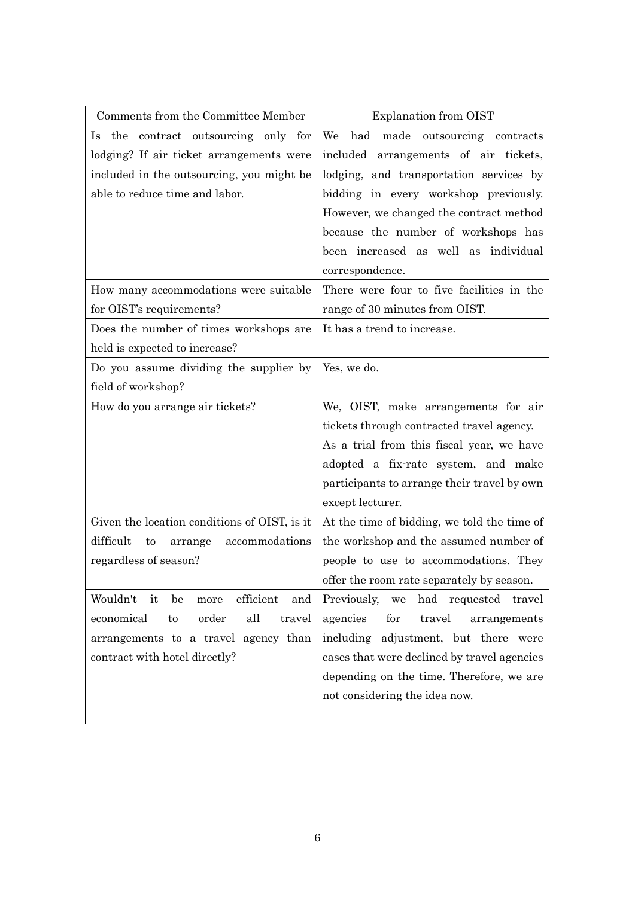| Comments from the Committee Member               | <b>Explanation from OIST</b>                       |
|--------------------------------------------------|----------------------------------------------------|
| Is the contract outsourcing only for             | had<br>We<br>made outsourcing contracts            |
| lodging? If air ticket arrangements were         | included arrangements of air tickets,              |
| included in the outsourcing, you might be        | lodging, and transportation services by            |
| able to reduce time and labor.                   | bidding in every workshop previously.              |
|                                                  | However, we changed the contract method            |
|                                                  | because the number of workshops has                |
|                                                  | been increased as well as individual               |
|                                                  | correspondence.                                    |
| How many accommodations were suitable            | There were four to five facilities in the          |
| for OIST's requirements?                         | range of 30 minutes from OIST.                     |
| Does the number of times workshops are           | It has a trend to increase.                        |
| held is expected to increase?                    |                                                    |
| Do you assume dividing the supplier by           | Yes, we do.                                        |
| field of workshop?                               |                                                    |
| How do you arrange air tickets?                  | We, OIST, make arrangements for air                |
|                                                  | tickets through contracted travel agency.          |
|                                                  | As a trial from this fiscal year, we have          |
|                                                  | adopted a fix-rate system, and make                |
|                                                  | participants to arrange their travel by own        |
|                                                  | except lecturer.                                   |
| Given the location conditions of OIST, is it     | At the time of bidding, we told the time of        |
| difficult<br>accommodations<br>to<br>arrange     | the workshop and the assumed number of             |
| regardless of season?                            | people to use to accommodations. They              |
|                                                  | offer the room rate separately by season.          |
| Wouldn't<br>it<br>be<br>efficient<br>more<br>and | had requested travel<br>Previously, we             |
| all<br>economical<br>order<br>travel<br>to       | agencies<br>travel<br>$_{\rm for}$<br>arrangements |
| arrangements to a travel agency than             | including adjustment, but there were               |
| contract with hotel directly?                    | cases that were declined by travel agencies        |
|                                                  | depending on the time. Therefore, we are           |
|                                                  | not considering the idea now.                      |
|                                                  |                                                    |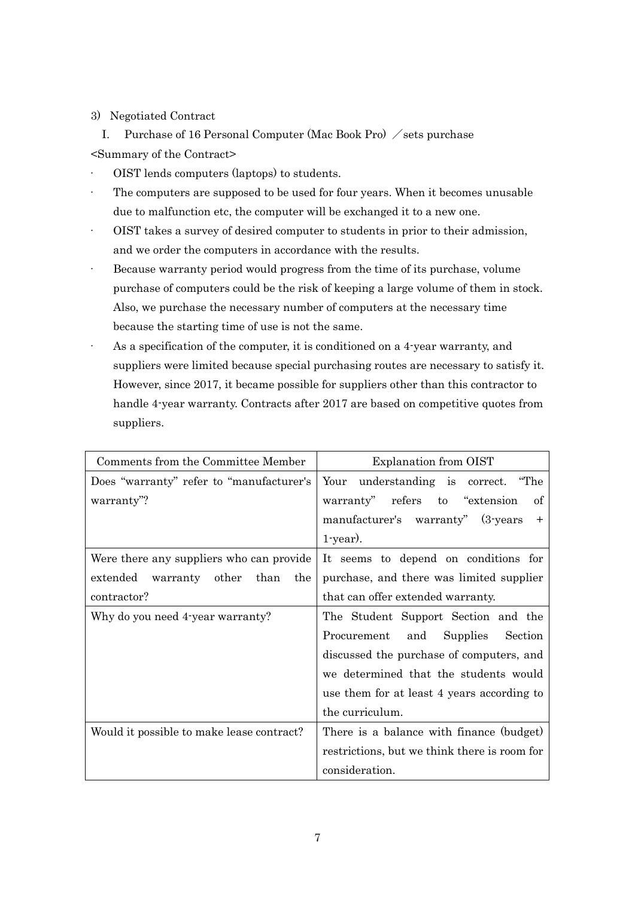# 3) Negotiated Contract

I. Purchase of 16 Personal Computer (Mac Book Pro)  $\angle$  sets purchase <Summary of the Contract>

- · OIST lends computers (laptops) to students.
- The computers are supposed to be used for four years. When it becomes unusable due to malfunction etc, the computer will be exchanged it to a new one.
- · OIST takes a survey of desired computer to students in prior to their admission, and we order the computers in accordance with the results.
- Because warranty period would progress from the time of its purchase, volume purchase of computers could be the risk of keeping a large volume of them in stock. Also, we purchase the necessary number of computers at the necessary time because the starting time of use is not the same.
- As a specification of the computer, it is conditioned on a 4-year warranty, and suppliers were limited because special purchasing routes are necessary to satisfy it. However, since 2017, it became possible for suppliers other than this contractor to handle 4-year warranty. Contracts after 2017 are based on competitive quotes from suppliers.

| Comments from the Committee Member        | <b>Explanation from OIST</b>                 |
|-------------------------------------------|----------------------------------------------|
| Does "warranty" refer to "manufacturer's  | Your understanding is correct. "The          |
| warranty"?                                | warranty" refers to "extension<br>οf         |
|                                           | manufacturer's warranty" (3-years<br>$^+$    |
|                                           | $1$ -year).                                  |
| Were there any suppliers who can provide  | It seems to depend on conditions for         |
| extended<br>warranty other than<br>the    | purchase, and there was limited supplier     |
| contractor?                               | that can offer extended warranty.            |
| Why do you need 4-year warranty?          | The Student Support Section and the          |
|                                           | Procurement<br>Supplies<br>and<br>Section    |
|                                           | discussed the purchase of computers, and     |
|                                           | we determined that the students would        |
|                                           | use them for at least 4 years according to   |
|                                           | the curriculum.                              |
| Would it possible to make lease contract? | There is a balance with finance (budget)     |
|                                           | restrictions, but we think there is room for |
|                                           | consideration.                               |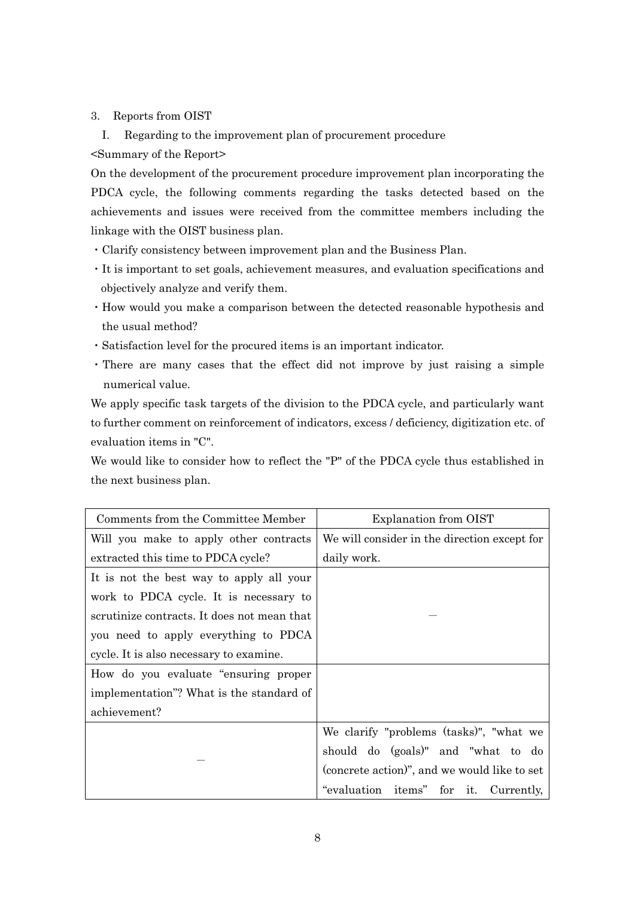## 3. Reports from OIST

I. Regarding to the improvement plan of procurement procedure <Summary of the Report>

On the development of the procurement procedure improvement plan incorporating the PDCA cycle, the following comments regarding the tasks detected based on the achievements and issues were received from the committee members including the linkage with the OIST business plan.

- ・Clarify consistency between improvement plan and the Business Plan.
- ・It is important to set goals, achievement measures, and evaluation specifications and objectively analyze and verify them.
- ・How would you make a comparison between the detected reasonable hypothesis and the usual method?
- ・Satisfaction level for the procured items is an important indicator.
- ・There are many cases that the effect did not improve by just raising a simple numerical value.

We apply specific task targets of the division to the PDCA cycle, and particularly want to further comment on reinforcement of indicators, excess / deficiency, digitization etc. of evaluation items in "C".

We would like to consider how to reflect the "P" of the PDCA cycle thus established in the next business plan.

| Comments from the Committee Member          | Explanation from OIST                        |
|---------------------------------------------|----------------------------------------------|
| Will you make to apply other contracts      | We will consider in the direction except for |
| extracted this time to PDCA cycle?          | daily work.                                  |
| It is not the best way to apply all your    |                                              |
| work to PDCA cycle. It is necessary to      |                                              |
| scrutinize contracts. It does not mean that |                                              |
| you need to apply everything to PDCA        |                                              |
| cycle. It is also necessary to examine.     |                                              |
| How do you evaluate "ensuring proper"       |                                              |
| implementation"? What is the standard of    |                                              |
| achievement?                                |                                              |
|                                             | We clarify "problems (tasks)", "what we      |
|                                             | should do (goals)" and "what to do           |
|                                             | (concrete action)", and we would like to set |
|                                             | "evaluation items" for it. Currently,        |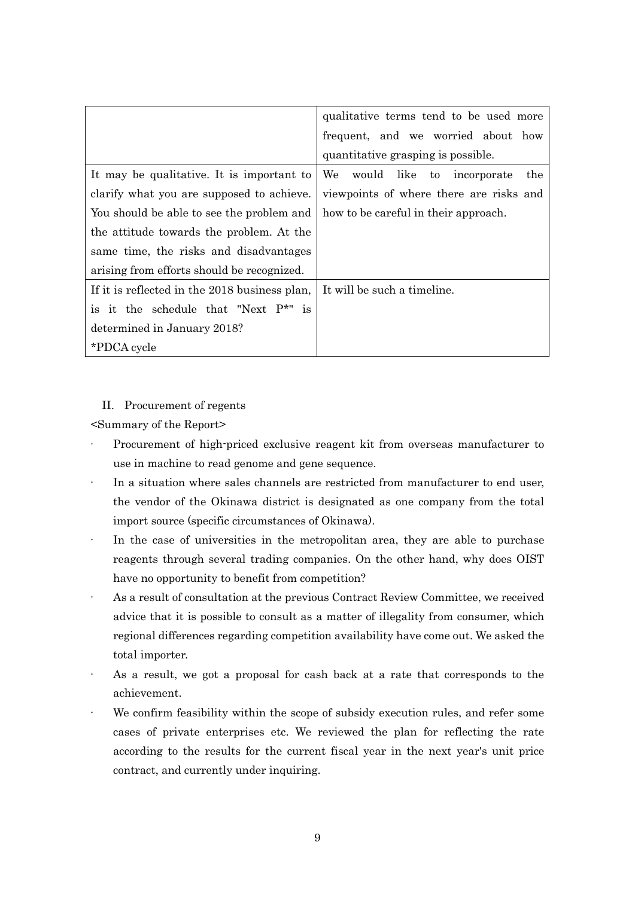|                                               | qualitative terms tend to be used more  |
|-----------------------------------------------|-----------------------------------------|
|                                               | frequent, and we worried about how      |
|                                               | quantitative grasping is possible.      |
| It may be qualitative. It is important to     | We would like to incorporate<br>the     |
| clarify what you are supposed to achieve.     | viewpoints of where there are risks and |
| You should be able to see the problem and     | how to be careful in their approach.    |
| the attitude towards the problem. At the      |                                         |
| same time, the risks and disadvantages        |                                         |
| arising from efforts should be recognized.    |                                         |
| If it is reflected in the 2018 business plan, | It will be such a timeline.             |
| is it the schedule that "Next P*" is          |                                         |
| determined in January 2018?                   |                                         |
| *PDCA cycle                                   |                                         |

### II. Procurement of regents

<Summary of the Report>

- Procurement of high-priced exclusive reagent kit from overseas manufacturer to use in machine to read genome and gene sequence.
- · In a situation where sales channels are restricted from manufacturer to end user, the vendor of the Okinawa district is designated as one company from the total import source (specific circumstances of Okinawa).
- In the case of universities in the metropolitan area, they are able to purchase reagents through several trading companies. On the other hand, why does OIST have no opportunity to benefit from competition?
- As a result of consultation at the previous Contract Review Committee, we received advice that it is possible to consult as a matter of illegality from consumer, which regional differences regarding competition availability have come out. We asked the total importer.
- As a result, we got a proposal for cash back at a rate that corresponds to the achievement.
- We confirm feasibility within the scope of subsidy execution rules, and refer some cases of private enterprises etc. We reviewed the plan for reflecting the rate according to the results for the current fiscal year in the next year's unit price contract, and currently under inquiring.